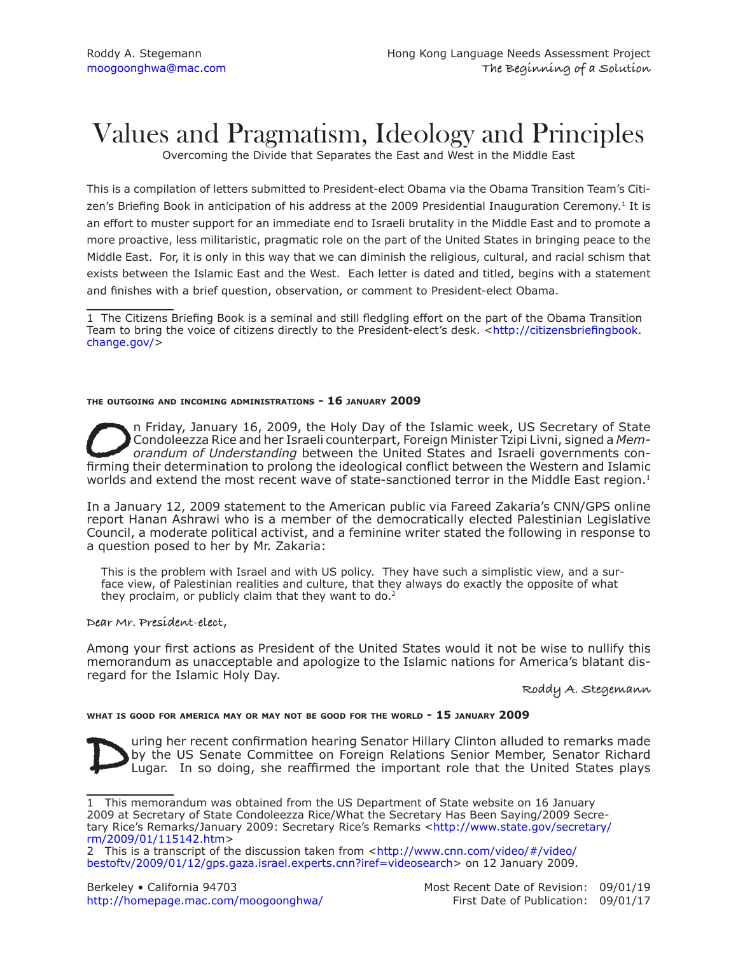# Values and Pragmatism, Ideology and Principles

Overcoming the Divide that Separates the East and West in the Middle East

This is a compilation of letters submitted to President-elect Obama via the Obama Transition Team's Citizen's Briefing Book in anticipation of his address at the 2009 Presidential Inauguration Ceremony.<sup>1</sup> It is an effort to muster support for an immediate end to Israeli brutality in the Middle East and to promote a more proactive, less militaristic, pragmatic role on the part of the United States in bringing peace to the Middle East. For, it is only in this way that we can diminish the religious, cultural, and racial schism that exists between the Islamic East and the West. Each letter is dated and titled, begins with a statement and finishes with a brief question, observation, or comment to President-elect Obama.

1 The Citizens Briefing Book is a seminal and still fledgling effort on the part of the Obama Transition Team to bring the voice of citizens directly to the President-elect's desk. [<http://citizensbriefingbook.](http://citizensbriefingbook.change.gov/) [change.gov/](http://citizensbriefingbook.change.gov/)>

## **the outgoing and incoming administrations - 16 january 2009**

On Friday, January 16, 2009, the Holy Day of the Islamic week, US Secretary of State Condoleezza Rice and her Israeli counterpart, Foreign Minister Tzipi Livni, signed a Memorandum of Understanding between the United State Condoleezza Rice and her Israeli counterpart, Foreign Minister Tzipi Livni, signed a *Memorandum of Understanding* between the United States and Israeli governments conworlds and extend the most recent wave of state-sanctioned terror in the Middle East region.<sup>1</sup>

In a January 12, 2009 statement to the American public via Fareed Zakaria's CNN/GPS online report Hanan Ashrawi who is a member of the democratically elected Palestinian Legislative Council, a moderate political activist, and a feminine writer stated the following in response to a question posed to her by Mr. Zakaria:

This is the problem with Israel and with US policy. They have such a simplistic view, and a surface view, of Palestinian realities and culture, that they always do exactly the opposite of what they proclaim, or publicly claim that they want to do.<sup>2</sup>

**Dear Mr. President-elect**,

Among your first actions as President of the United States would it not be wise to nullify this memorandum as unacceptable and apologize to the Islamic nations for America's blatant disregard for the Islamic Holy Day.

**Roddy A. Stegemann**

## **what is good for america may or may not be good for the world - 15 january 2009**

United Senator Hillary Clinton alluded to remarks made<br>by the US Senate Committee on Foreign Relations Senior Member, Senator Richard<br>Lugar. In so doing, she reaffirmed the important role that the United States plays by the US Senate Committee on Foreign Relations Senior Member, Senator Richard Lugar. In so doing, she reaffirmed the important role that the United States plays

<sup>1</sup> This memorandum was obtained from the US Department of State website on 16 January 2009 at Secretary of State Condoleezza Rice/What the Secretary Has Been Saying/2009 Secretary Rice's Remarks/January 2009: Secretary Rice's Remarks <[http://www.state.gov/secretary/](http://www.state.gov/secretary/rm/2009/01/115142.htm) [rm/2009/01/115142.ht](http://www.state.gov/secretary/rm/2009/01/115142.htm)m>

<sup>2</sup> This is a transcript of the discussion taken from <[http://www.cnn.com/video/#/video/](http://www.cnn.com/video/#/video/bestoftv/2009/01/12/gps.gaza.israel.experts.cnn?iref=videosearch) [bestoftv/2009/01/12/gps.gaza.israel.experts.cnn?iref=videosearc](http://www.cnn.com/video/#/video/bestoftv/2009/01/12/gps.gaza.israel.experts.cnn?iref=videosearch)h> on 12 January 2009.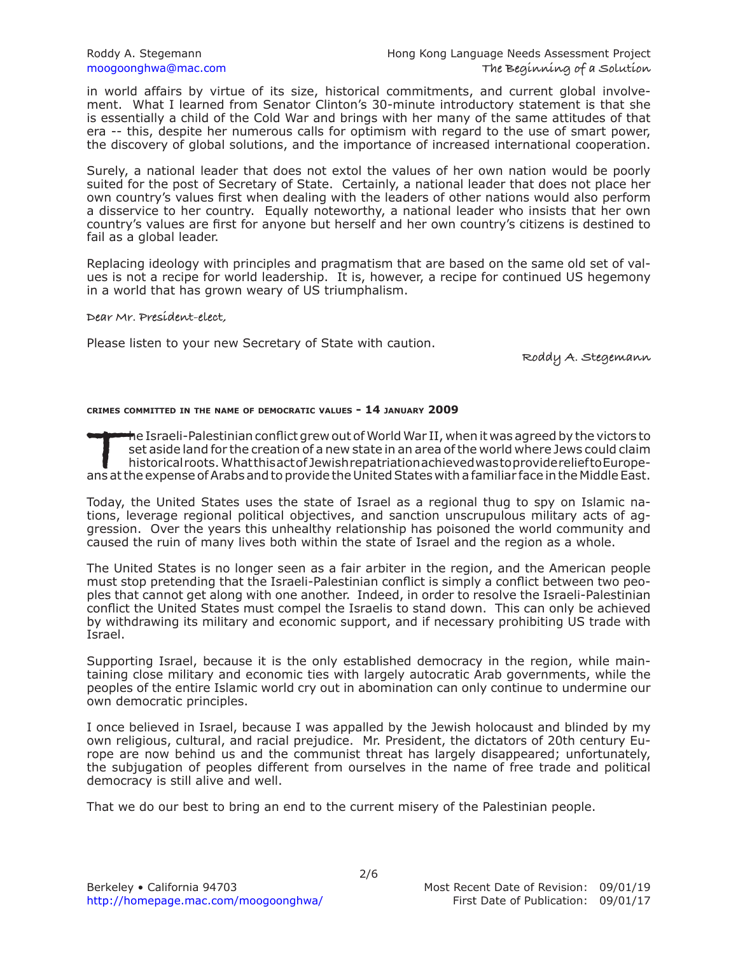in world affairs by virtue of its size, historical commitments, and current global involvement. What I learned from Senator Clinton's 30-minute introductory statement is that she is essentially a child of the Cold War and brings with her many of the same attitudes of that era -- this, despite her numerous calls for optimism with regard to the use of smart power, the discovery of global solutions, and the importance of increased international cooperation.

Surely, a national leader that does not extol the values of her own nation would be poorly suited for the post of Secretary of State. Certainly, a national leader that does not place her own country's values first when dealing with the leaders of other nations would also perform a disservice to her country. Equally noteworthy, a national leader who insists that her own country's values are first for anyone but herself and her own country's citizens is destined to fail as a global leader.

Replacing ideology with principles and pragmatism that are based on the same old set of values is not a recipe for world leadership. It is, however, a recipe for continued US hegemony in a world that has grown weary of US triumphalism.

**Dear Mr. President-elect,**

Please listen to your new Secretary of State with caution.

**Roddy A. Stegemann**

## **crimes committed in the name of democratic values - 14 january 2009**

The Israeli-Palestinian conflict grew out of World War II, when it was agreed by the victors to set aside land for the creation of a new state in an area of the world where Jews could claim historical roots. What this act set aside land for the creation of a new state in an area of the world where Jews could claim historical roots. What this act of Jewish repatriation achieved was to provide relief to Europe-

Today, the United States uses the state of Israel as a regional thug to spy on Islamic nations, leverage regional political objectives, and sanction unscrupulous military acts of aggression. Over the years this unhealthy relationship has poisoned the world community and caused the ruin of many lives both within the state of Israel and the region as a whole.

The United States is no longer seen as a fair arbiter in the region, and the American people must stop pretending that the Israeli-Palestinian conflict is simply a conflict between two peoples that cannot get along with one another. Indeed, in order to resolve the Israeli-Palestinian conflict the United States must compel the Israelis to stand down. This can only be achieved by withdrawing its military and economic support, and if necessary prohibiting US trade with Israel.

Supporting Israel, because it is the only established democracy in the region, while maintaining close military and economic ties with largely autocratic Arab governments, while the peoples of the entire Islamic world cry out in abomination can only continue to undermine our own democratic principles.

I once believed in Israel, because I was appalled by the Jewish holocaust and blinded by my own religious, cultural, and racial prejudice. Mr. President, the dictators of 20th century Europe are now behind us and the communist threat has largely disappeared; unfortunately, the subjugation of peoples different from ourselves in the name of free trade and political democracy is still alive and well.

That we do our best to bring an end to the current misery of the Palestinian people.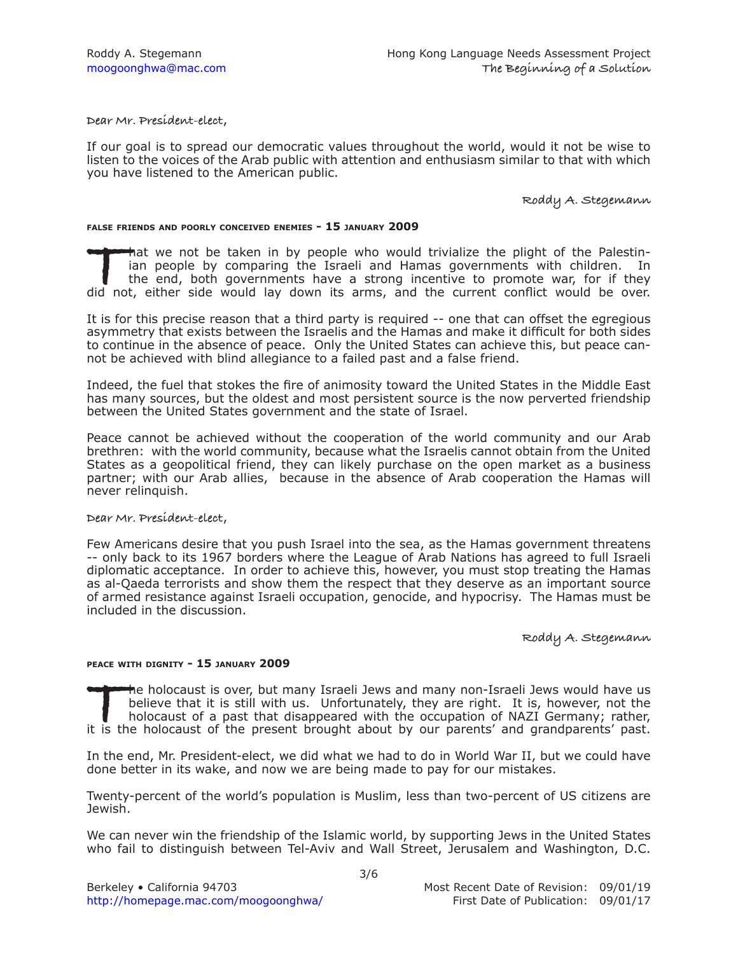**Dear Mr. President-elect**,

If our goal is to spread our democratic values throughout the world, would it not be wise to listen to the voices of the Arab public with attention and enthusiasm similar to that with which you have listened to the American public.

**Roddy A. Stegemann**

## **false friends and poorly conceived enemies - 15 january 2009**

That we not be taken in by people who would trivialize the plight of the Palestinian people by comparing the Israeli and Hamas governments with children. In the end, both governments have a strong incentive to promote war, ian people by comparing the Israeli and Hamas governments with children. In the end, both governments have a strong incentive to promote war, for if they

It is for this precise reason that a third party is required -- one that can offset the egregious asymmetry that exists between the Israelis and the Hamas and make it difficult for both sides to continue in the absence of peace. Only the United States can achieve this, but peace cannot be achieved with blind allegiance to a failed past and a false friend.

Indeed, the fuel that stokes the fire of animosity toward the United States in the Middle East has many sources, but the oldest and most persistent source is the now perverted friendship between the United States government and the state of Israel.

Peace cannot be achieved without the cooperation of the world community and our Arab brethren: with the world community, because what the Israelis cannot obtain from the United States as a geopolitical friend, they can likely purchase on the open market as a business partner; with our Arab allies, because in the absence of Arab cooperation the Hamas will never relinquish.

## **Dear Mr. President-elect**,

Few Americans desire that you push Israel into the sea, as the Hamas government threatens -- only back to its 1967 borders where the League of Arab Nations has agreed to full Israeli diplomatic acceptance. In order to achieve this, however, you must stop treating the Hamas as al-Qaeda terrorists and show them the respect that they deserve as an important source of armed resistance against Israeli occupation, genocide, and hypocrisy. The Hamas must be included in the discussion.

**Roddy A. Stegemann**

## **peace with dignity - 15 january 2009**

The holocaust is over, but many Israeli Jews and many non-Israeli Jews would have us<br>
believe that it is still with us. Unfortunately, they are right. It is, however, not the<br>
holocaust of a past that disappeared with the believe that it is still with us. Unfortunately, they are right. It is, however, not the holocaust of a past that disappeared with the occupation of NAZI Germany; rather,

In the end, Mr. President-elect, we did what we had to do in World War II, but we could have done better in its wake, and now we are being made to pay for our mistakes.

Twenty-percent of the world's population is Muslim, less than two-percent of US citizens are Jewish.

We can never win the friendship of the Islamic world, by supporting Jews in the United States who fail to distinguish between Tel-Aviv and Wall Street, Jerusalem and Washington, D.C.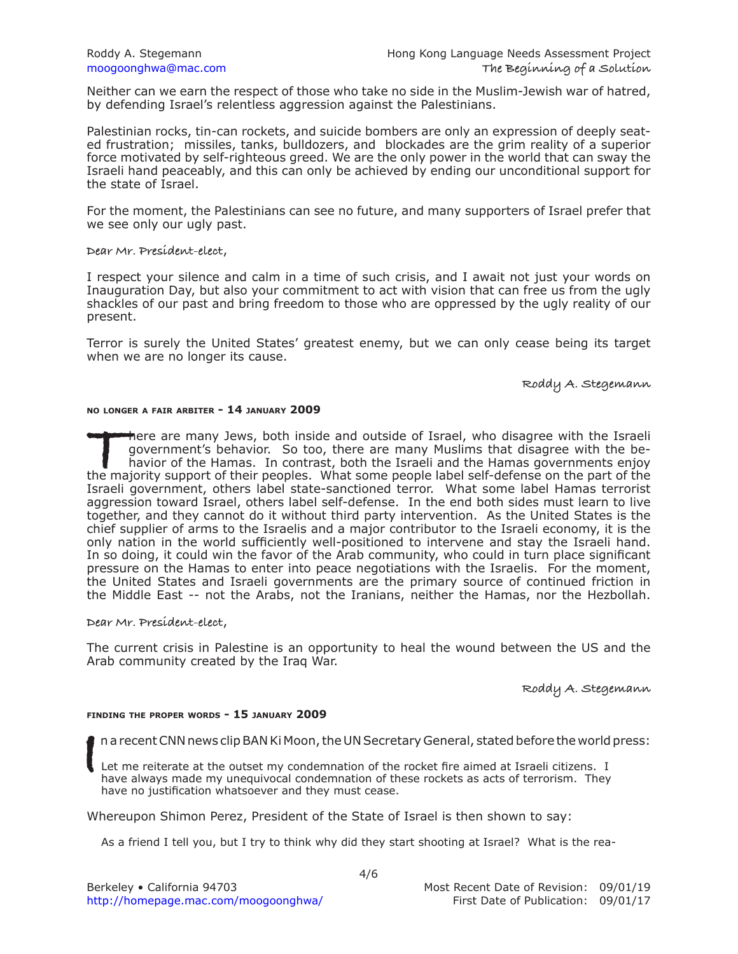Neither can we earn the respect of those who take no side in the Muslim-Jewish war of hatred, by defending Israel's relentless aggression against the Palestinians.

Palestinian rocks, tin-can rockets, and suicide bombers are only an expression of deeply seated frustration; missiles, tanks, bulldozers, and blockades are the grim reality of a superior force motivated by self-righteous greed. We are the only power in the world that can sway the Israeli hand peaceably, and this can only be achieved by ending our unconditional support for the state of Israel.

For the moment, the Palestinians can see no future, and many supporters of Israel prefer that we see only our ugly past.

**Dear Mr. President-elect**,

I respect your silence and calm in a time of such crisis, and I await not just your words on Inauguration Day, but also your commitment to act with vision that can free us from the ugly shackles of our past and bring freedom to those who are oppressed by the ugly reality of our present.

Terror is surely the United States' greatest enemy, but we can only cease being its target when we are no longer its cause.

**Roddy A. Stegemann**

## **no longer a fair arbiter - 14 january 2009**

There are many Jews, both inside and outside of Israel, who disagree with the Israeli government's behavior. So too, there are many Muslims that disagree with the behavior of the Hamas. In contrast, both the Israeli and th government's behavior. So too, there are many Muslims that disagree with the behavior of the Hamas. In contrast, both the Israeli and the Hamas governments enjoy Israeli government, others label state-sanctioned terror. What some label Hamas terrorist aggression toward Israel, others label self-defense. In the end both sides must learn to live together, and they cannot do it without third party intervention. As the United States is the chief supplier of arms to the Israelis and a major contributor to the Israeli economy, it is the only nation in the world sufficiently well-positioned to intervene and stay the Israeli hand. In so doing, it could win the favor of the Arab community, who could in turn place significant pressure on the Hamas to enter into peace negotiations with the Israelis. For the moment, the United States and Israeli governments are the primary source of continued friction in the Middle East -- not the Arabs, not the Iranians, neither the Hamas, nor the Hezbollah.

**Dear Mr. President-elect**,

The current crisis in Palestine is an opportunity to heal the wound between the US and the Arab community created by the Iraq War.

**Roddy A. Stegemann**

#### **finding the proper words - 15 january 2009**

n a recent CNN news clip BAN Ki Moon, the UN Secretary General, stated before the world press:

**I** Let me reiterate at the outset my condemnation of the rocket fire aimed at Israeli citizens. I have always made my unequivocal condemnation of these rockets as acts of terrorism. They have no justification whatsoever and they must cease.

Whereupon Shimon Perez, President of the State of Israel is then shown to say:

As a friend I tell you, but I try to think why did they start shooting at Israel? What is the rea-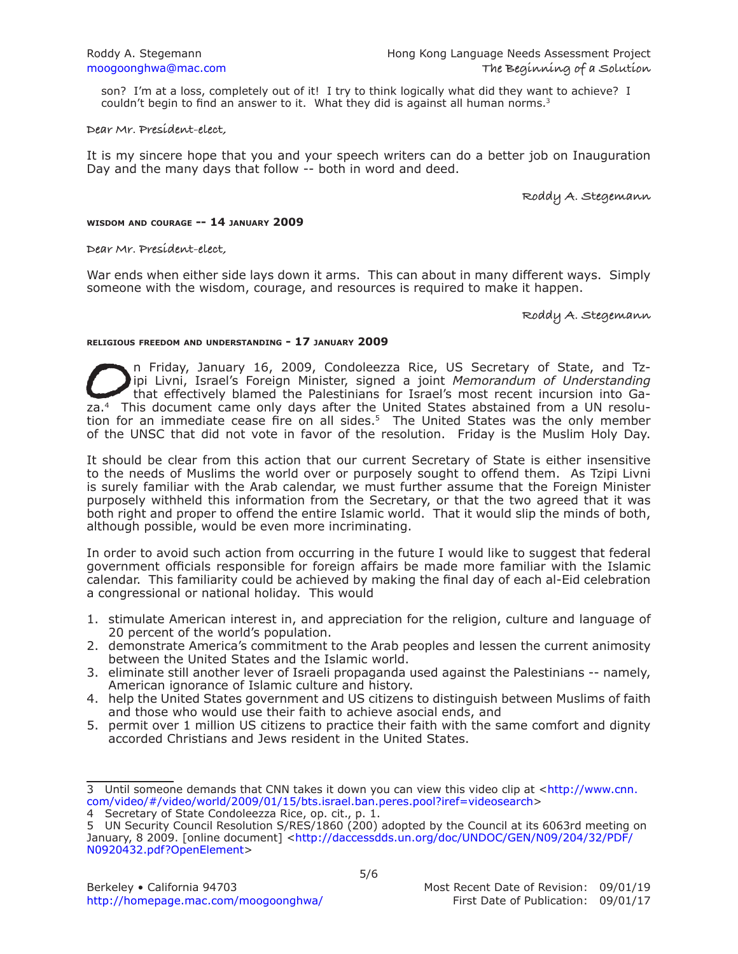son? I'm at a loss, completely out of it! I try to think logically what did they want to achieve? I couldn't begin to find an answer to it. What they did is against all human norms.<sup>3</sup>

**Dear Mr. President-elect,**

It is my sincere hope that you and your speech writers can do a better job on Inauguration Day and the many days that follow -- both in word and deed.

**Roddy A. Stegemann**

## **wisdom and courage -- 14 january 2009**

**Dear Mr. President-elect,**

War ends when either side lays down it arms. This can about in many different ways. Simply someone with the wisdom, courage, and resources is required to make it happen.

**Roddy A. Stegemann**

## **religious freedom and understanding - 17 january 2009**

**O**n Friday, January 16, 2009, Condoleezza Rice, US Secretary of State, and Tz-<br>
ipi Livni, Israel's Foreign Minister, signed a joint *Memorandum of Understanding*<br>
za.<sup>4</sup> This document came only days after the United Stat ipi Livni, Israel's Foreign Minister, signed a joint *Memorandum of Understanding* that effectively blamed the Palestinians for Israel's most recent incursion into Gation for an immediate cease fire on all sides.<sup>5</sup> The United States was the only member of the UNSC that did not vote in favor of the resolution. Friday is the Muslim Holy Day.

It should be clear from this action that our current Secretary of State is either insensitive to the needs of Muslims the world over or purposely sought to offend them. As Tzipi Livni is surely familiar with the Arab calendar, we must further assume that the Foreign Minister purposely withheld this information from the Secretary, or that the two agreed that it was both right and proper to offend the entire Islamic world. That it would slip the minds of both, although possible, would be even more incriminating.

In order to avoid such action from occurring in the future I would like to suggest that federal government officials responsible for foreign affairs be made more familiar with the Islamic calendar. This familiarity could be achieved by making the final day of each al-Eid celebration a congressional or national holiday. This would

- 1. stimulate American interest in, and appreciation for the religion, culture and language of 20 percent of the world's population.
- 2. demonstrate America's commitment to the Arab peoples and lessen the current animosity between the United States and the Islamic world.
- 3. eliminate still another lever of Israeli propaganda used against the Palestinians -- namely, American ignorance of Islamic culture and history.
- 4. help the United States government and US citizens to distinguish between Muslims of faith and those who would use their faith to achieve asocial ends, and
- 5. permit over 1 million US citizens to practice their faith with the same comfort and dignity accorded Christians and Jews resident in the United States.

<sup>3</sup> Until someone demands that CNN takes it down you can view this video clip at [<http://www.cnn.](http://www.cnn.com/video/#/video/world/2009/01/15/bts.israel.ban.peres.pool?iref=videosearch) [com/video/#/video/world/2009/01/15/bts.israel.ban.peres.pool?iref=videosearc](http://www.cnn.com/video/#/video/world/2009/01/15/bts.israel.ban.peres.pool?iref=videosearch)h>

<sup>4</sup> Secretary of State Condoleezza Rice, op. cit., p. 1.

<sup>5</sup> UN Security Council Resolution S/RES/1860 (200) adopted by the Council at its 6063rd meeting on January, 8 2009. [online document] [<http://daccessdds.un.org/doc/UNDOC/GEN/N09/204/32/PDF/](http://daccessdds.un.org/doc/UNDOC/GEN/N09/204/32/PDF/N0920432.pdf?OpenElement) [N0920432.pdf?OpenElemen](http://daccessdds.un.org/doc/UNDOC/GEN/N09/204/32/PDF/N0920432.pdf?OpenElement)t>